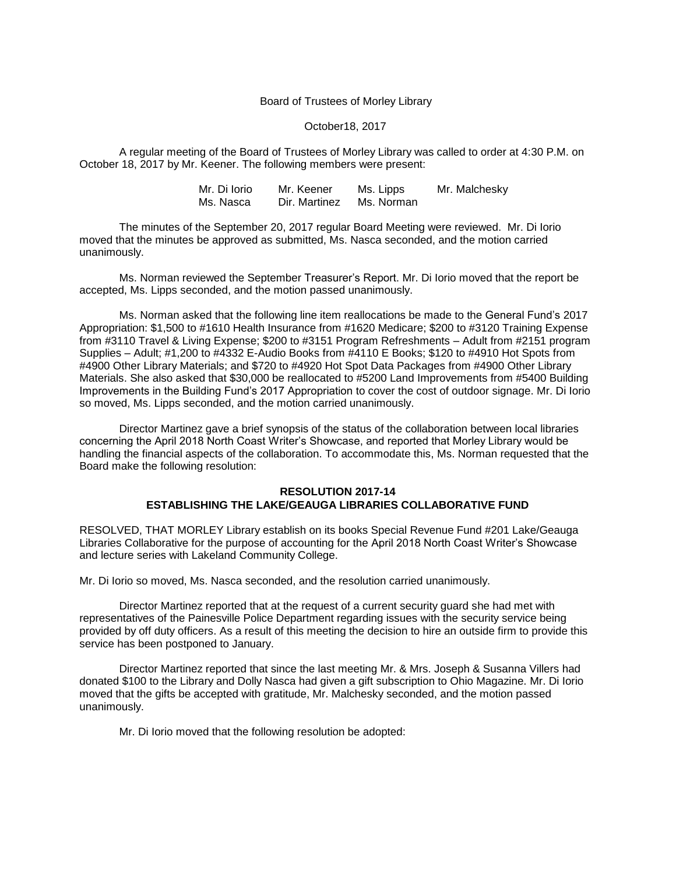## Board of Trustees of Morley Library

## October18, 2017

A regular meeting of the Board of Trustees of Morley Library was called to order at 4:30 P.M. on October 18, 2017 by Mr. Keener. The following members were present:

> Mr. Di Iorio Mr. Keener Ms. Lipps Mr. Malchesky<br>Ms. Nasca Dir. Martinez Ms. Norman Ms. Nasca Dir. Martinez

The minutes of the September 20, 2017 regular Board Meeting were reviewed. Mr. Di Iorio moved that the minutes be approved as submitted, Ms. Nasca seconded, and the motion carried unanimously.

Ms. Norman reviewed the September Treasurer's Report. Mr. Di Iorio moved that the report be accepted, Ms. Lipps seconded, and the motion passed unanimously.

Ms. Norman asked that the following line item reallocations be made to the General Fund's 2017 Appropriation: \$1,500 to #1610 Health Insurance from #1620 Medicare; \$200 to #3120 Training Expense from #3110 Travel & Living Expense; \$200 to #3151 Program Refreshments – Adult from #2151 program Supplies – Adult; #1,200 to #4332 E-Audio Books from #4110 E Books; \$120 to #4910 Hot Spots from #4900 Other Library Materials; and \$720 to #4920 Hot Spot Data Packages from #4900 Other Library Materials. She also asked that \$30,000 be reallocated to #5200 Land Improvements from #5400 Building Improvements in the Building Fund's 2017 Appropriation to cover the cost of outdoor signage. Mr. Di Iorio so moved, Ms. Lipps seconded, and the motion carried unanimously.

Director Martinez gave a brief synopsis of the status of the collaboration between local libraries concerning the April 2018 North Coast Writer's Showcase, and reported that Morley Library would be handling the financial aspects of the collaboration. To accommodate this, Ms. Norman requested that the Board make the following resolution:

## **RESOLUTION 2017-14 ESTABLISHING THE LAKE/GEAUGA LIBRARIES COLLABORATIVE FUND**

RESOLVED, THAT MORLEY Library establish on its books Special Revenue Fund #201 Lake/Geauga Libraries Collaborative for the purpose of accounting for the April 2018 North Coast Writer's Showcase and lecture series with Lakeland Community College.

Mr. Di Iorio so moved, Ms. Nasca seconded, and the resolution carried unanimously.

Director Martinez reported that at the request of a current security guard she had met with representatives of the Painesville Police Department regarding issues with the security service being provided by off duty officers. As a result of this meeting the decision to hire an outside firm to provide this service has been postponed to January.

Director Martinez reported that since the last meeting Mr. & Mrs. Joseph & Susanna Villers had donated \$100 to the Library and Dolly Nasca had given a gift subscription to Ohio Magazine. Mr. Di Iorio moved that the gifts be accepted with gratitude, Mr. Malchesky seconded, and the motion passed unanimously.

Mr. Di Iorio moved that the following resolution be adopted: